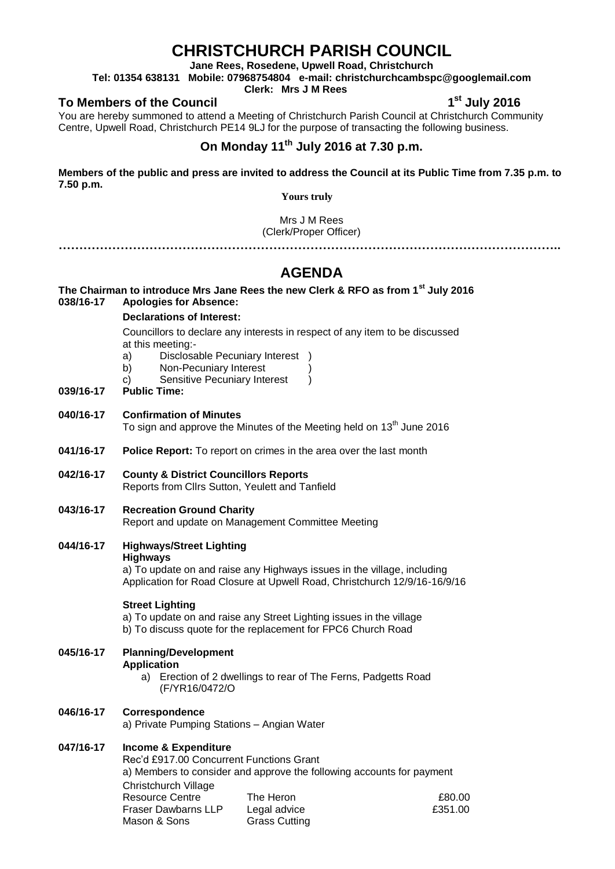# **CHRISTCHURCH PARISH COUNCIL**

**Jane Rees, Rosedene, Upwell Road, Christchurch**

**Tel: 01354 638131 Mobile: 07968754804 e-mail: christchurchcambspc@googlemail.com**

**Clerk: Mrs J M Rees**

### **To Members of the Council 1**

**st July 2016**

You are hereby summoned to attend a Meeting of Christchurch Parish Council at Christchurch Community Centre, Upwell Road, Christchurch PE14 9LJ for the purpose of transacting the following business.

## **On Monday 11 th July 2016 at 7.30 p.m.**

**Members of the public and press are invited to address the Council at its Public Time from 7.35 p.m. to 7.50 p.m.** 

**Yours truly**

Mrs J M Rees (Clerk/Proper Officer)

**…………………………………………………………………………………………………………..**

# **AGENDA**

### **The Chairman to introduce Mrs Jane Rees the new Clerk & RFO as from 1st July 2016 038/16-17 Apologies for Absence:**

#### **Declarations of Interest:**

Councillors to declare any interests in respect of any item to be discussed at this meeting:-

- a) Disclosable Pecuniary Interest )
- b) Non-Pecuniary Interest
- c) Sensitive Pecuniary Interest )

#### **039/16-17 Public Time:**

- **040/16-17 Confirmation of Minutes** To sign and approve the Minutes of the Meeting held on 13<sup>th</sup> June 2016
- **041/16-17 Police Report:** To report on crimes in the area over the last month
- **042/16-17 County & District Councillors Reports** Reports from Cllrs Sutton, Yeulett and Tanfield
- **043/16-17 Recreation Ground Charity** Report and update on Management Committee Meeting
- **044/16-17 Highways/Street Lighting Highways**

a) To update on and raise any Highways issues in the village, including Application for Road Closure at Upwell Road, Christchurch 12/9/16-16/9/16

### **Street Lighting**

a) To update on and raise any Street Lighting issues in the village b) To discuss quote for the replacement for FPC6 Church Road

**045/16-17 Planning/Development Application** a) Erection of 2 dwellings to rear of The Ferns, Padgetts Road

(F/YR16/0472/O

#### **046/16-17 Correspondence**

a) Private Pumping Stations – Angian Water

### **047/16-17 Income & Expenditure**

Rec'd £917.00 Concurrent Functions Grant a) Members to consider and approve the following accounts for payment Christchurch Village Resource Centre Fraser Dawbarns LLP Mason & Sons The Heron Legal advice Grass Cutting £80.00 £351.00